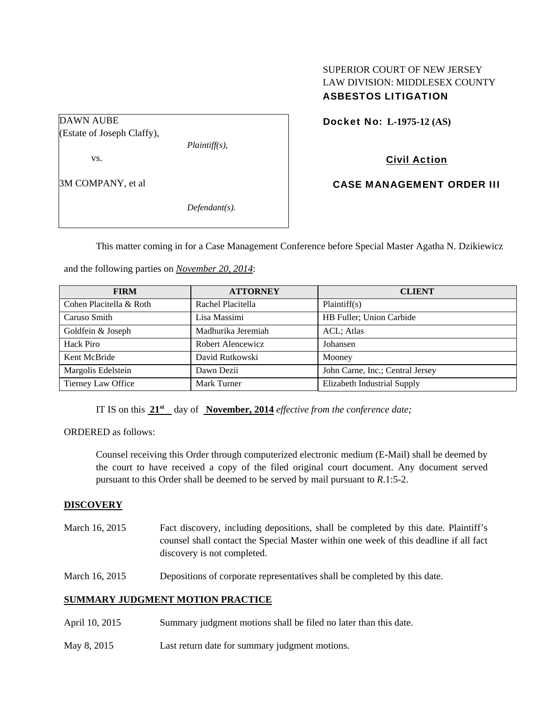## SUPERIOR COURT OF NEW JERSEY LAW DIVISION: MIDDLESEX COUNTY ASBESTOS LITIGATION

Docket No: **L-1975-12 (AS)** 

Civil Action

CASE MANAGEMENT ORDER III

This matter coming in for a Case Management Conference before Special Master Agatha N. Dzikiewicz

and the following parties on *November 20, 2014*:

*Plaintiff(s),* 

*Defendant(s).* 

| <b>FIRM</b>             | <b>ATTORNEY</b>    | <b>CLIENT</b>                    |
|-------------------------|--------------------|----------------------------------|
| Cohen Placitella & Roth | Rachel Placitella  | Plaintiff(s)                     |
| Caruso Smith            | Lisa Massimi       | HB Fuller; Union Carbide         |
| Goldfein & Joseph       | Madhurika Jeremiah | ACL; Atlas                       |
| Hack Piro               | Robert Alencewicz  | Johansen                         |
| Kent McBride            | David Rutkowski    | Mooney                           |
| Margolis Edelstein      | Dawn Dezii         | John Carne, Inc.; Central Jersey |
| Tierney Law Office      | Mark Turner        | Elizabeth Industrial Supply      |

IT IS on this  $21^{st}$  day of **November, 2014** *effective from the conference date;* 

ORDERED as follows:

Counsel receiving this Order through computerized electronic medium (E-Mail) shall be deemed by the court to have received a copy of the filed original court document. Any document served pursuant to this Order shall be deemed to be served by mail pursuant to *R*.1:5-2.

#### **DISCOVERY**

DAWN AUBE

vs.

3M COMPANY, et al

(Estate of Joseph Claffy),

- March 16, 2015 Fact discovery, including depositions, shall be completed by this date. Plaintiff's counsel shall contact the Special Master within one week of this deadline if all fact discovery is not completed.
- March 16, 2015 Depositions of corporate representatives shall be completed by this date.

#### **SUMMARY JUDGMENT MOTION PRACTICE**

- April 10, 2015 Summary judgment motions shall be filed no later than this date.
- May 8, 2015 Last return date for summary judgment motions.